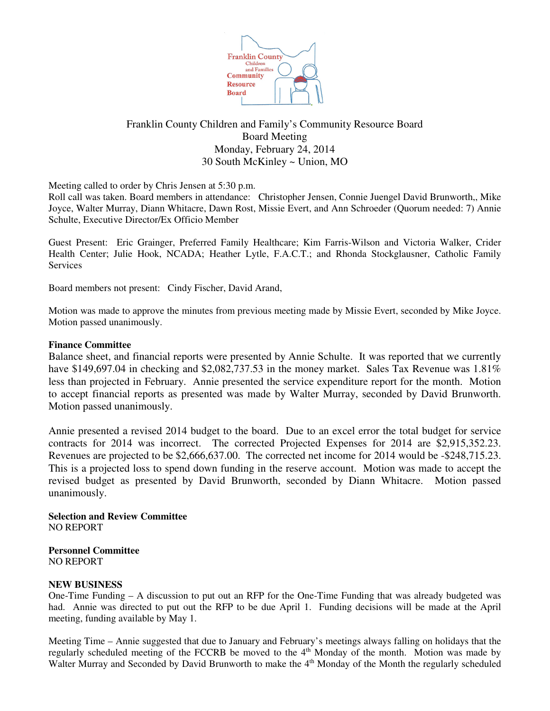

# Franklin County Children and Family's Community Resource Board Board Meeting Monday, February 24, 2014 30 South McKinley ~ Union, MO

Meeting called to order by Chris Jensen at 5:30 p.m.

Roll call was taken. Board members in attendance: Christopher Jensen, Connie Juengel David Brunworth,, Mike Joyce, Walter Murray, Diann Whitacre, Dawn Rost, Missie Evert, and Ann Schroeder (Quorum needed: 7) Annie Schulte, Executive Director/Ex Officio Member

Guest Present: Eric Grainger, Preferred Family Healthcare; Kim Farris-Wilson and Victoria Walker, Crider Health Center; Julie Hook, NCADA; Heather Lytle, F.A.C.T.; and Rhonda Stockglausner, Catholic Family Services

Board members not present: Cindy Fischer, David Arand,

Motion was made to approve the minutes from previous meeting made by Missie Evert, seconded by Mike Joyce. Motion passed unanimously.

#### **Finance Committee**

Balance sheet, and financial reports were presented by Annie Schulte. It was reported that we currently have \$149,697.04 in checking and \$2,082,737.53 in the money market. Sales Tax Revenue was 1.81% less than projected in February. Annie presented the service expenditure report for the month. Motion to accept financial reports as presented was made by Walter Murray, seconded by David Brunworth. Motion passed unanimously.

Annie presented a revised 2014 budget to the board. Due to an excel error the total budget for service contracts for 2014 was incorrect. The corrected Projected Expenses for 2014 are \$2,915,352.23. Revenues are projected to be \$2,666,637.00. The corrected net income for 2014 would be -\$248,715.23. This is a projected loss to spend down funding in the reserve account. Motion was made to accept the revised budget as presented by David Brunworth, seconded by Diann Whitacre. Motion passed unanimously.

#### **Selection and Review Committee** NO REPORT

**Personnel Committee** NO REPORT

### **NEW BUSINESS**

One-Time Funding – A discussion to put out an RFP for the One-Time Funding that was already budgeted was had. Annie was directed to put out the RFP to be due April 1. Funding decisions will be made at the April meeting, funding available by May 1.

Meeting Time – Annie suggested that due to January and February's meetings always falling on holidays that the regularly scheduled meeting of the FCCRB be moved to the 4<sup>th</sup> Monday of the month. Motion was made by Walter Murray and Seconded by David Brunworth to make the 4<sup>th</sup> Monday of the Month the regularly scheduled